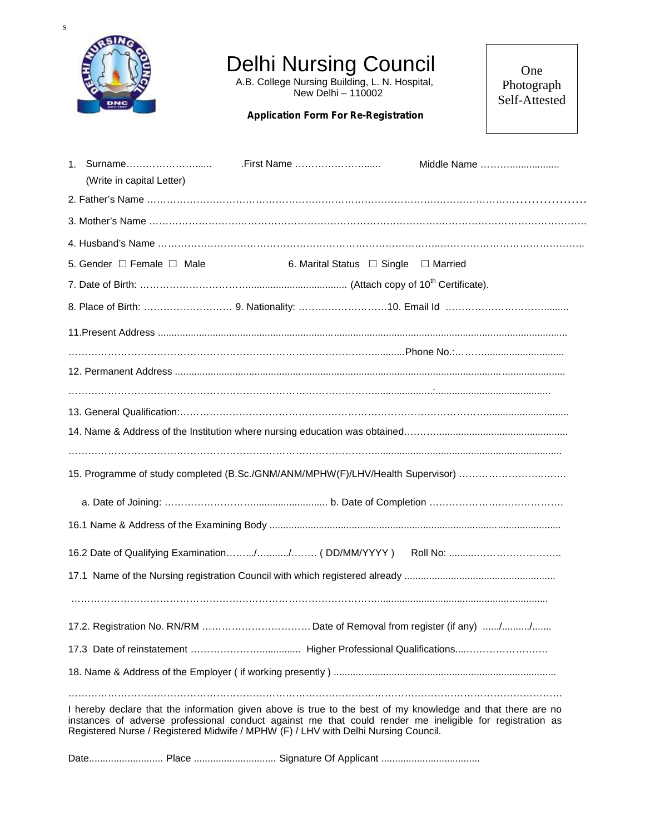

## Delhi Nursing Council

A.B. College Nursing Building, L. N. Hospital, New Delhi – 110002

## **Application Form For Re-Registration**

One Photograph Self-Attested

| (Write in capital Letter)                                                          |                                                | Middle Name                                                                                                                                                                                                             |
|------------------------------------------------------------------------------------|------------------------------------------------|-------------------------------------------------------------------------------------------------------------------------------------------------------------------------------------------------------------------------|
|                                                                                    |                                                |                                                                                                                                                                                                                         |
|                                                                                    |                                                |                                                                                                                                                                                                                         |
|                                                                                    |                                                |                                                                                                                                                                                                                         |
| 5. Gender □ Female □ Male                                                          | 6. Marital Status $\Box$ Single $\Box$ Married |                                                                                                                                                                                                                         |
|                                                                                    |                                                |                                                                                                                                                                                                                         |
|                                                                                    |                                                |                                                                                                                                                                                                                         |
|                                                                                    |                                                |                                                                                                                                                                                                                         |
|                                                                                    |                                                |                                                                                                                                                                                                                         |
|                                                                                    |                                                |                                                                                                                                                                                                                         |
|                                                                                    |                                                |                                                                                                                                                                                                                         |
|                                                                                    |                                                |                                                                                                                                                                                                                         |
|                                                                                    |                                                |                                                                                                                                                                                                                         |
|                                                                                    |                                                | 15. Programme of study completed (B.Sc./GNM/ANM/MPHW(F)/LHV/Health Supervisor)                                                                                                                                          |
|                                                                                    |                                                |                                                                                                                                                                                                                         |
|                                                                                    |                                                |                                                                                                                                                                                                                         |
|                                                                                    |                                                |                                                                                                                                                                                                                         |
|                                                                                    |                                                |                                                                                                                                                                                                                         |
|                                                                                    |                                                |                                                                                                                                                                                                                         |
|                                                                                    |                                                |                                                                                                                                                                                                                         |
|                                                                                    |                                                |                                                                                                                                                                                                                         |
|                                                                                    |                                                |                                                                                                                                                                                                                         |
|                                                                                    |                                                |                                                                                                                                                                                                                         |
| Registered Nurse / Registered Midwife / MPHW (F) / LHV with Delhi Nursing Council. |                                                | I hereby declare that the information given above is true to the best of my knowledge and that there are no<br>instances of adverse professional conduct against me that could render me ineligible for registration as |
|                                                                                    |                                                |                                                                                                                                                                                                                         |